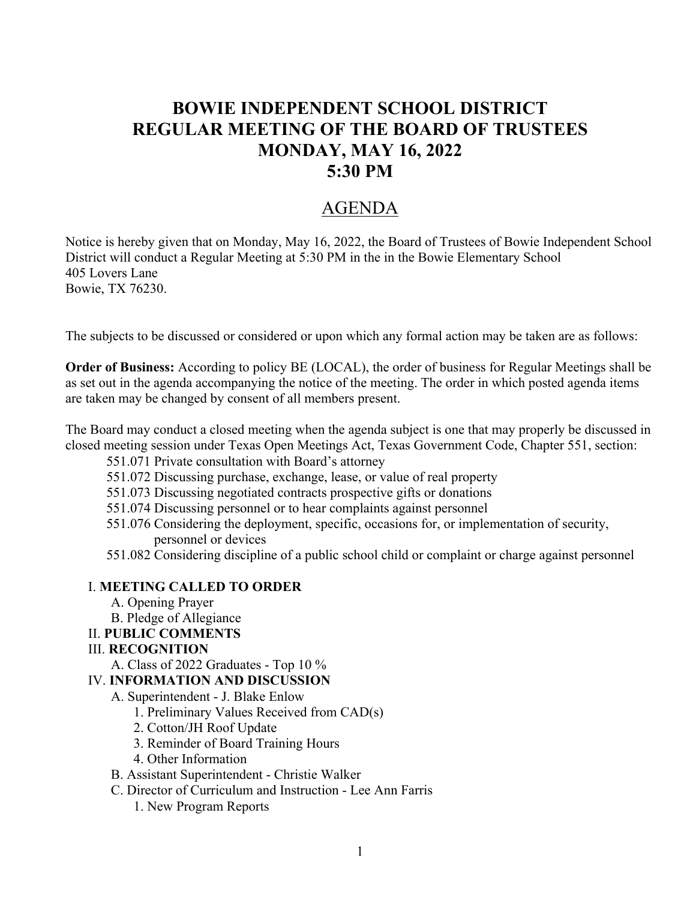# **BOWIE INDEPENDENT SCHOOL DISTRICT REGULAR MEETING OF THE BOARD OF TRUSTEES MONDAY, MAY 16, 2022 5:30 PM**

# AGENDA

Notice is hereby given that on Monday, May 16, 2022, the Board of Trustees of Bowie Independent School District will conduct a Regular Meeting at 5:30 PM in the in the Bowie Elementary School 405 Lovers Lane Bowie, TX 76230.

The subjects to be discussed or considered or upon which any formal action may be taken are as follows:

**Order of Business:** According to policy BE (LOCAL), the order of business for Regular Meetings shall be as set out in the agenda accompanying the notice of the meeting. The order in which posted agenda items are taken may be changed by consent of all members present.

The Board may conduct a closed meeting when the agenda subject is one that may properly be discussed in closed meeting session under Texas Open Meetings Act, Texas Government Code, Chapter 551, section:

- 551.071 Private consultation with Board's attorney
- 551.072 Discussing purchase, exchange, lease, or value of real property
- 551.073 Discussing negotiated contracts prospective gifts or donations
- 551.074 Discussing personnel or to hear complaints against personnel
- 551.076 Considering the deployment, specific, occasions for, or implementation of security, personnel or devices
- 551.082 Considering discipline of a public school child or complaint or charge against personnel

#### I. **MEETING CALLED TO ORDER**

- A. Opening Prayer
- B. Pledge of Allegiance
- II. **PUBLIC COMMENTS**

#### III. **RECOGNITION**

A. Class of 2022 Graduates - Top 10 %

#### IV. **INFORMATION AND DISCUSSION**

- A. Superintendent J. Blake Enlow
	- 1. Preliminary Values Received from CAD(s)
	- 2. Cotton/JH Roof Update
	- 3. Reminder of Board Training Hours
	- 4. Other Information
- B. Assistant Superintendent Christie Walker
- C. Director of Curriculum and Instruction Lee Ann Farris
	- 1. New Program Reports